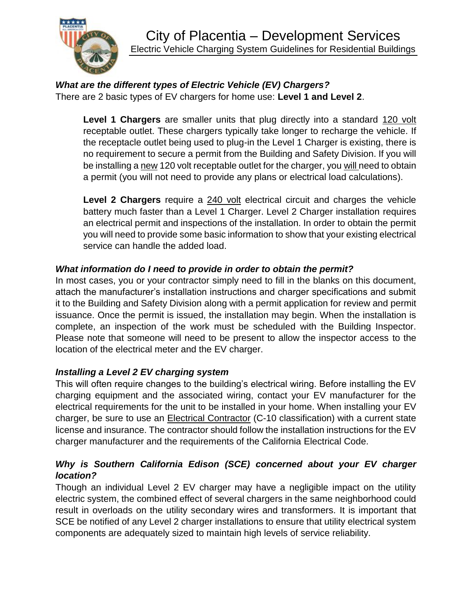

#### *What are the different types of Electric Vehicle (EV) Chargers?* There are 2 basic types of EV chargers for home use: **Level 1 and Level 2**.

**Level 1 Chargers** are smaller units that plug directly into a standard 120 volt receptable outlet. These chargers typically take longer to recharge the vehicle. If the receptacle outlet being used to plug-in the Level 1 Charger is existing, there is no requirement to secure a permit from the Building and Safety Division. If you will be installing a new 120 volt receptable outlet for the charger, you will need to obtain a permit (you will not need to provide any plans or electrical load calculations).

**Level 2 Chargers** require a 240 volt electrical circuit and charges the vehicle battery much faster than a Level 1 Charger. Level 2 Charger installation requires an electrical permit and inspections of the installation. In order to obtain the permit you will need to provide some basic information to show that your existing electrical service can handle the added load.

# *What information do I need to provide in order to obtain the permit?*

In most cases, you or your contractor simply need to fill in the blanks on this document, attach the manufacturer's installation instructions and charger specifications and submit it to the Building and Safety Division along with a permit application for review and permit issuance. Once the permit is issued, the installation may begin. When the installation is complete, an inspection of the work must be scheduled with the Building Inspector. Please note that someone will need to be present to allow the inspector access to the location of the electrical meter and the EV charger.

## *Installing a Level 2 EV charging system*

This will often require changes to the building's electrical wiring. Before installing the EV charging equipment and the associated wiring, contact your EV manufacturer for the electrical requirements for the unit to be installed in your home. When installing your EV charger, be sure to use an Electrical Contractor (C-10 classification) with a current state license and insurance. The contractor should follow the installation instructions for the EV charger manufacturer and the requirements of the California Electrical Code.

# *Why is Southern California Edison (SCE) concerned about your EV charger location?*

Though an individual Level 2 EV charger may have a negligible impact on the utility electric system, the combined effect of several chargers in the same neighborhood could result in overloads on the utility secondary wires and transformers. It is important that SCE be notified of any Level 2 charger installations to ensure that utility electrical system components are adequately sized to maintain high levels of service reliability.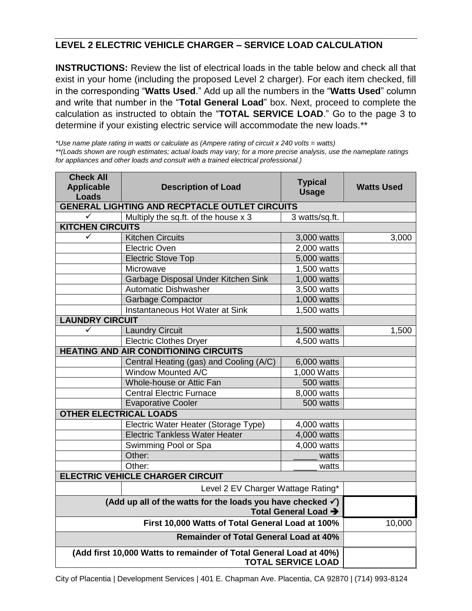## **LEVEL 2 ELECTRIC VEHICLE CHARGER – SERVICE LOAD CALCULATION**

**INSTRUCTIONS:** Review the list of electrical loads in the table below and check all that exist in your home (including the proposed Level 2 charger). For each item checked, fill in the corresponding "**Watts Used**." Add up all the numbers in the "**Watts Used**" column and write that number in the "**Total General Load**" box. Next, proceed to complete the calculation as instructed to obtain the "**TOTAL SERVICE LOAD**." Go to the page 3 to determine if your existing electric service will accommodate the new loads.\*\*

*\*Use name plate rating in watts or calculate as (Ampere rating of circuit x 240 volts = watts)*

*\*\*(Loads shown are rough estimates; actual loads may vary; for a more precise analysis, use the nameplate ratings for appliances and other loads and consult with a trained electrical professional.)*

| <b>Check All</b><br><b>Applicable</b><br><b>Loads</b>                  | <b>Description of Load</b>                         | <b>Watts Used</b> |       |
|------------------------------------------------------------------------|----------------------------------------------------|-------------------|-------|
|                                                                        | GENERAL LIGHTING AND RECPTACLE OUTLET CIRCUITS     |                   |       |
| ✓                                                                      | Multiply the sq.ft. of the house x 3               | 3 watts/sq.ft.    |       |
| <b>KITCHEN CIRCUITS</b>                                                |                                                    |                   |       |
| ✓                                                                      | <b>Kitchen Circuits</b>                            | 3,000 watts       | 3,000 |
|                                                                        | Electric Oven<br>2,000 watts                       |                   |       |
|                                                                        | 5,000 watts<br><b>Electric Stove Top</b>           |                   |       |
|                                                                        | Microwave                                          | 1,500 watts       |       |
|                                                                        | Garbage Disposal Under Kitchen Sink<br>1,000 watts |                   |       |
|                                                                        | <b>Automatic Dishwasher</b>                        | 3,500 watts       |       |
|                                                                        | Garbage Compactor                                  | 1,000 watts       |       |
|                                                                        | Instantaneous Hot Water at Sink                    | 1,500 watts       |       |
| <b>LAUNDRY CIRCUIT</b>                                                 |                                                    |                   |       |
| ✓                                                                      | <b>Laundry Circuit</b>                             | 1,500 watts       | 1,500 |
|                                                                        | <b>Electric Clothes Dryer</b>                      | 4,500 watts       |       |
| <b>HEATING AND AIR CONDITIONING CIRCUITS</b>                           |                                                    |                   |       |
|                                                                        | Central Heating (gas) and Cooling (A/C)            | 6,000 watts       |       |
|                                                                        | <b>Window Mounted A/C</b>                          | 1,000 Watts       |       |
|                                                                        | Whole-house or Attic Fan                           | 500 watts         |       |
| <b>Central Electric Furnace</b>                                        |                                                    | 8,000 watts       |       |
| 500 watts<br><b>Evaporative Cooler</b>                                 |                                                    |                   |       |
| <b>OTHER ELECTRICAL LOADS</b>                                          |                                                    |                   |       |
|                                                                        | Electric Water Heater (Storage Type)               | 4,000 watts       |       |
|                                                                        | <b>Electric Tankless Water Heater</b>              | 4,000 watts       |       |
|                                                                        | Swimming Pool or Spa                               | 4,000 watts       |       |
|                                                                        | Other:                                             | watts             |       |
|                                                                        | Other:                                             | watts             |       |
| <b>ELECTRIC VEHICLE CHARGER CIRCUIT</b>                                |                                                    |                   |       |
|                                                                        |                                                    |                   |       |
| (Add up all of the watts for the loads you have checked $\checkmark$ ) |                                                    |                   |       |
|                                                                        | 10,000                                             |                   |       |
|                                                                        |                                                    |                   |       |
| (Add first 10,000 Watts to remainder of Total General Load at 40%)     |                                                    |                   |       |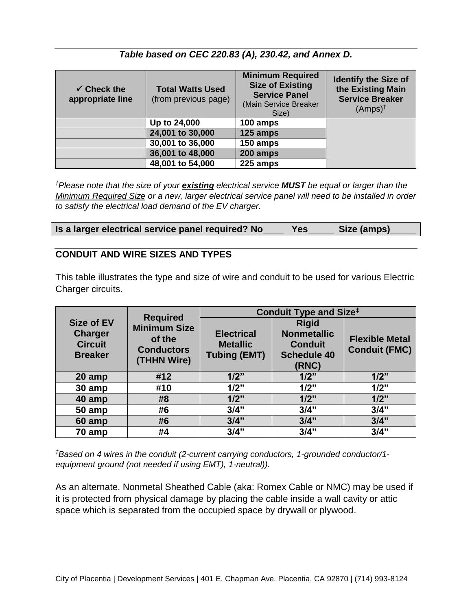### *Table based on CEC 220.83 (A), 230.42, and Annex D.*

| $\checkmark$ Check the<br>appropriate line | <b>Total Watts Used</b><br>(from previous page) | <b>Minimum Required</b><br><b>Size of Existing</b><br><b>Service Panel</b><br>(Main Service Breaker<br>Size) | <b>Identify the Size of</b><br>the Existing Main<br><b>Service Breaker</b><br>$(Amps)^{\dagger}$ |
|--------------------------------------------|-------------------------------------------------|--------------------------------------------------------------------------------------------------------------|--------------------------------------------------------------------------------------------------|
|                                            | Up to 24,000                                    | 100 amps                                                                                                     |                                                                                                  |
|                                            | 24,001 to 30,000                                | 125 amps                                                                                                     |                                                                                                  |
|                                            | 30,001 to 36,000                                | 150 amps                                                                                                     |                                                                                                  |
|                                            | 36,001 to 48,000                                | 200 amps                                                                                                     |                                                                                                  |
|                                            | 48,001 to 54,000                                | 225 amps                                                                                                     |                                                                                                  |

*†Please note that the size of your existing electrical service MUST be equal or larger than the Minimum Required Size or a new, larger electrical service panel will need to be installed in order to satisfy the electrical load demand of the EV charger.*

| Is a larger electrical service panel required? No |  |  |  |  | Yes | Size (amps) |
|---------------------------------------------------|--|--|--|--|-----|-------------|
|---------------------------------------------------|--|--|--|--|-----|-------------|

#### **CONDUIT AND WIRE SIZES AND TYPES**

This table illustrates the type and size of wire and conduit to be used for various Electric Charger circuits.

|                                                                         | <b>Required</b>                                                   | <b>Conduit Type and Size<sup>‡</sup></b>                    |                                                                                     |                                               |
|-------------------------------------------------------------------------|-------------------------------------------------------------------|-------------------------------------------------------------|-------------------------------------------------------------------------------------|-----------------------------------------------|
| <b>Size of EV</b><br><b>Charger</b><br><b>Circuit</b><br><b>Breaker</b> | <b>Minimum Size</b><br>of the<br><b>Conductors</b><br>(THHN Wire) | <b>Electrical</b><br><b>Metallic</b><br><b>Tubing (EMT)</b> | <b>Rigid</b><br><b>Nonmetallic</b><br><b>Conduit</b><br><b>Schedule 40</b><br>(RNC) | <b>Flexible Metal</b><br><b>Conduit (FMC)</b> |
| 20 amp                                                                  | #12                                                               | 1/2"                                                        | 1/2"                                                                                | 1/2"                                          |
| 30 amp                                                                  | #10                                                               | 1/2"                                                        | 1/2"                                                                                | 1/2"                                          |
| 40 amp                                                                  | #8                                                                | 1/2"                                                        | 1/2"                                                                                | 1/2"                                          |
| 50 amp                                                                  | #6                                                                | 3/4"                                                        | 3/4"                                                                                | 3/4"                                          |
| 60 amp                                                                  | #6                                                                | 3/4"                                                        | 3/4"                                                                                | 3/4"                                          |
| 70 amp                                                                  | #4                                                                | 3/4"                                                        | 3/4"                                                                                | 3/4"                                          |

*‡Based on 4 wires in the conduit (2-current carrying conductors, 1-grounded conductor/1 equipment ground (not needed if using EMT), 1-neutral)).*

As an alternate, Nonmetal Sheathed Cable (aka: Romex Cable or NMC) may be used if it is protected from physical damage by placing the cable inside a wall cavity or attic space which is separated from the occupied space by drywall or plywood.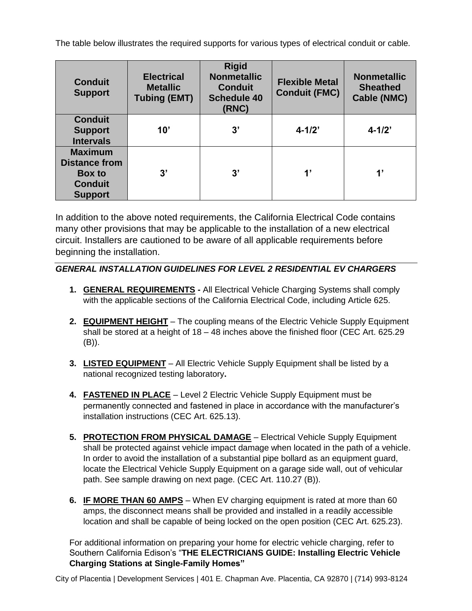The table below illustrates the required supports for various types of electrical conduit or cable.

| <b>Conduit</b><br><b>Support</b>                                                     | <b>Electrical</b><br><b>Metallic</b><br><b>Tubing (EMT)</b> | <b>Rigid</b><br><b>Nonmetallic</b><br><b>Conduit</b><br><b>Schedule 40</b><br>(RNC) | <b>Flexible Metal</b><br><b>Conduit (FMC)</b> | <b>Nonmetallic</b><br><b>Sheathed</b><br><b>Cable (NMC)</b> |
|--------------------------------------------------------------------------------------|-------------------------------------------------------------|-------------------------------------------------------------------------------------|-----------------------------------------------|-------------------------------------------------------------|
| <b>Conduit</b><br><b>Support</b><br><b>Intervals</b>                                 | 10'                                                         | 3'                                                                                  | $4 - 1/2$                                     | $4 - 1/2$                                                   |
| <b>Maximum</b><br><b>Distance from</b><br>Box to<br><b>Conduit</b><br><b>Support</b> | 3'                                                          | 3'                                                                                  | $\mathbf{1}$                                  | $\mathbf{1}$                                                |

In addition to the above noted requirements, the California Electrical Code contains many other provisions that may be applicable to the installation of a new electrical circuit. Installers are cautioned to be aware of all applicable requirements before beginning the installation.

#### *GENERAL INSTALLATION GUIDELINES FOR LEVEL 2 RESIDENTIAL EV CHARGERS*

- **1. GENERAL REQUIREMENTS -** All Electrical Vehicle Charging Systems shall comply with the applicable sections of the California Electrical Code, including Article 625.
- **2. EQUIPMENT HEIGHT** The coupling means of the Electric Vehicle Supply Equipment shall be stored at a height of 18 – 48 inches above the finished floor (CEC Art. 625.29 (B)).
- **3. LISTED EQUIPMENT** All Electric Vehicle Supply Equipment shall be listed by a national recognized testing laboratory**.**
- **4. FASTENED IN PLACE** Level 2 Electric Vehicle Supply Equipment must be permanently connected and fastened in place in accordance with the manufacturer's installation instructions (CEC Art. 625.13).
- **5. PROTECTION FROM PHYSICAL DAMAGE** Electrical Vehicle Supply Equipment shall be protected against vehicle impact damage when located in the path of a vehicle. In order to avoid the installation of a substantial pipe bollard as an equipment guard, locate the Electrical Vehicle Supply Equipment on a garage side wall, out of vehicular path. See sample drawing on next page. (CEC Art. 110.27 (B)).
- **6. IF MORE THAN 60 AMPS** When EV charging equipment is rated at more than 60 amps, the disconnect means shall be provided and installed in a readily accessible location and shall be capable of being locked on the open position (CEC Art. 625.23).

For additional information on preparing your home for electric vehicle charging, refer to Southern California Edison's "**THE ELECTRICIANS GUIDE: Installing Electric Vehicle Charging Stations at Single-Family Homes"**